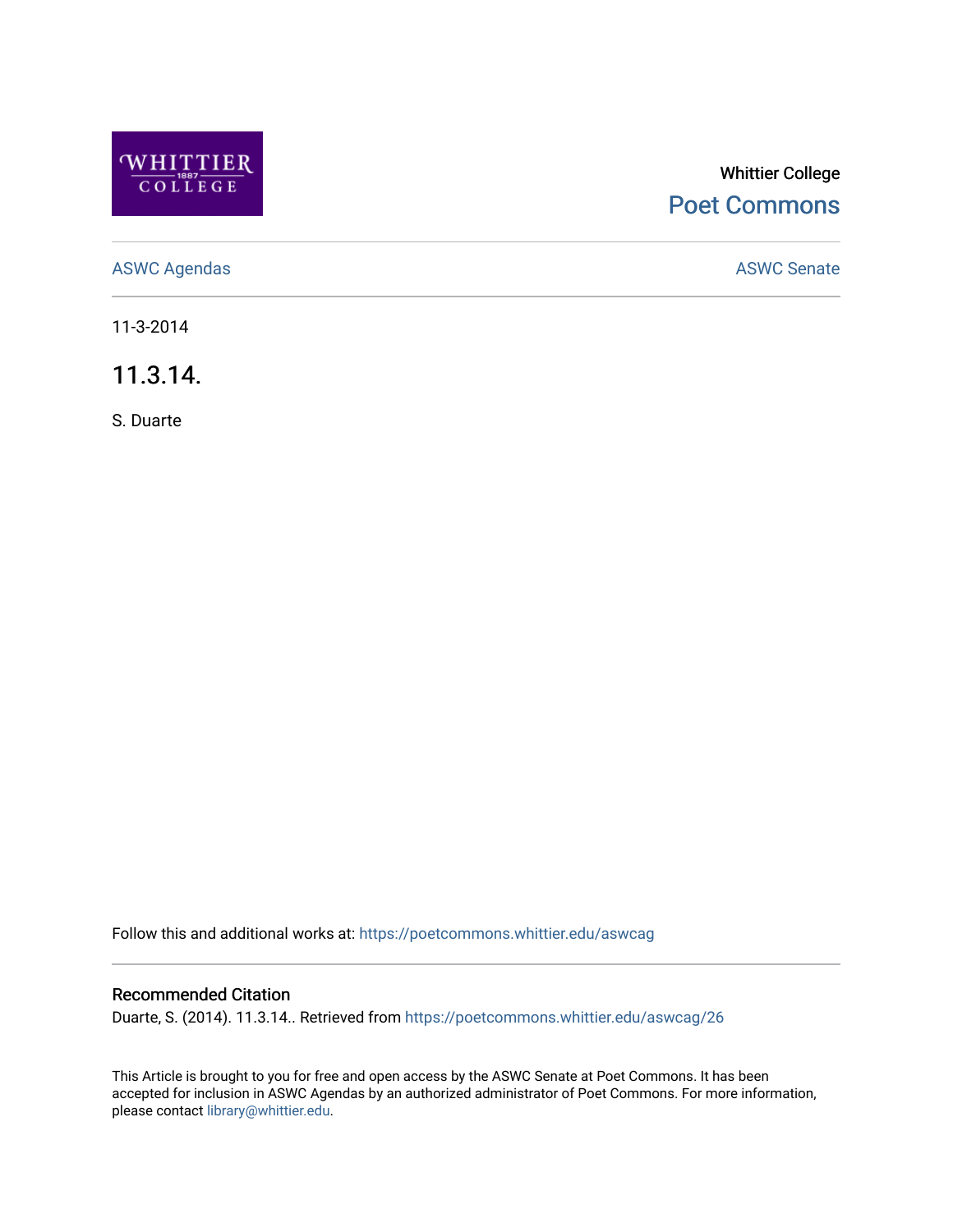

## Whittier College [Poet Commons](https://poetcommons.whittier.edu/)

[ASWC Agendas](https://poetcommons.whittier.edu/aswcag) **ASWC Senate** 

11-3-2014

11.3.14.

S. Duarte

Follow this and additional works at: [https://poetcommons.whittier.edu/aswcag](https://poetcommons.whittier.edu/aswcag?utm_source=poetcommons.whittier.edu%2Faswcag%2F26&utm_medium=PDF&utm_campaign=PDFCoverPages) 

## Recommended Citation

Duarte, S. (2014). 11.3.14.. Retrieved from [https://poetcommons.whittier.edu/aswcag/26](https://poetcommons.whittier.edu/aswcag/26?utm_source=poetcommons.whittier.edu%2Faswcag%2F26&utm_medium=PDF&utm_campaign=PDFCoverPages) 

This Article is brought to you for free and open access by the ASWC Senate at Poet Commons. It has been accepted for inclusion in ASWC Agendas by an authorized administrator of Poet Commons. For more information, please contact [library@whittier.edu](mailto:library@whittier.edu).